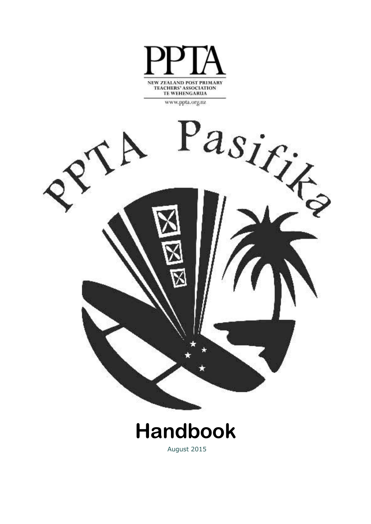

**TE WEHENGARUA** 

www.ppta.org.nz

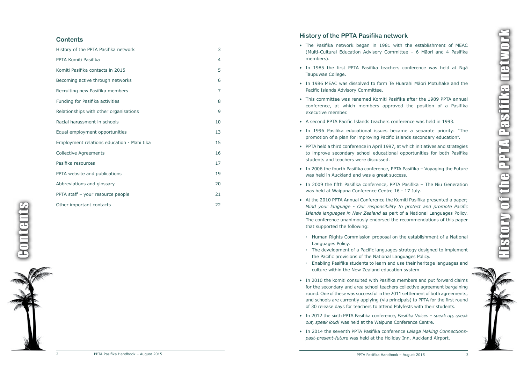Contents **Gonten** 





# **History of the PPTA Pasifika network**

- • The Pasifika network began in 1981 with the establishment of MEAC (Multi-Cultural Education Advisory Committee – 6 Māori and 4 Pasifika members).
- In 1985 the first PPTA Pasifika teachers conference was held at Ngā Taupuwae College.
- In 1986 MEAC was dissolved to form Te Huarahi Māori Motuhake and the Pacific Islands Advisory Committee.
- This committee was renamed Komiti Pasifika after the 1989 PPTA annual conference, at which members approved the position of a Pasifika executive member.
- A second PPTA Pacific Islands teachers conference was held in 1993.
- • In 1996 Pasifika educational issues became a separate priority: "The promotion of a pla n for improving Pacific Islands secondary education" .
- • PPTA held a third conference in April 1997, at which initiatives and strategies to improve secondary school educational opportunities for both Pasifika students and teachers were discussed.
- In 2006 the fourth Pasifika conference, PPTA Pasifika Voyaging the Future was held in Auckland and was a great success.
- • In 2009 the fifth Pasifika conference, PPTA Pasifika The Niu Generation was held at Waipuna Conference Centre 16 - 17 July.
- At the 2010 PPTA Annual Conference the Komiti Pasifika presented a paper; *Mind your language - Our responsibility to protect and promote Pacific Islands languages in New Zealand* as part of a National Languages Policy. The conference unanimously endorsed the recommendations of this paper tha t supported the following:
	- Human Rights Commission proposal on the establishment of a National Languages Policy.
- The development of a Pacific languages strategy designed to implement the Pacific provisions of the National Languages Policy.
- Enabling Pasifika students to learn and use their heritage languages and culture within the New Zealand education system.
- In 2010 the komiti consulted with Pasifika members and put forward claims for the secondary and area school teachers collectiv e agreement bargaining round. One of these was successful in the 2011 settlement of both agreements, and schools are currently applying (via principals) to PPTA for the first round of 30 release days for teachers to attend Polyfests with their students.
- • In 2012 the sixth PPTA Pasifika conference, *Pasifika Voices speak up, speak out, speak loud!* was held at the Waipuna Conference Centre.
- • In 2014 the seventh PPTA Pasifika conference *Lalaga Making Connectionspast-present-future* was held at the Holiday Inn, Auckland Airport.

## **Contents**

| History of the PPTA Pasifika network       | 3  |
|--------------------------------------------|----|
| PPTA Komiti Pasifika                       | 4  |
| Komiti Pasifika contacts in 2015           | 5  |
| Becoming active through networks           | 6  |
| Recruiting new Pasifika members            | 7  |
| Funding for Pasifika activities            | 8  |
| Relationships with other organisations     | 9  |
| Racial harassment in schools               | 10 |
| Equal employment opportunities             | 13 |
| Employment relations education - Mahi tika | 15 |
| <b>Collective Agreements</b>               | 16 |
| Pasifika resources                         | 17 |
| PPTA website and publications              | 19 |
| Abbreviations and glossary                 | 20 |
| PPTA staff - your resource people          | 21 |
| Other important contacts                   | 22 |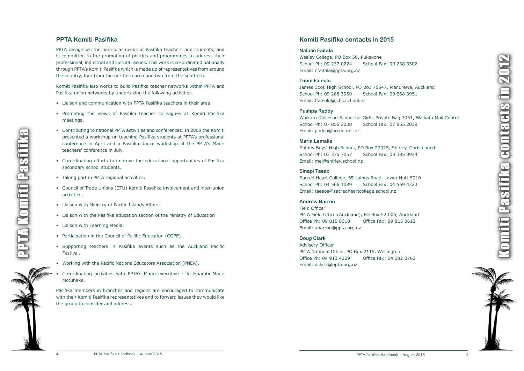

# <span id="page-2-0"></span>**PPTA Komiti Pasifika**

PPTA recognises the particular needs of Pasifika teachers and students, and is committed to the promotion of policies and programmes to address their professional, industria l and cultural issues. This work is co-ordinated nationally through PPTA's Komiti Pasifika which is made up of representatives from around the country, four from the northern area and two from the southern.

Komiti Pasifika also works to build Pasifika teacher networks within PPTA and Pasifika union networks b y undertaking the following activities.

- Liaison and communication with PPTA Pasifika teachers in their area.
- • Promoting the views of Pasifika teacher colleagues at Komiti Pasifika meetings.
- Contributing to national PPTA activities and conferences. In 2008 the Komiti presented a workshop on teaching Pasifika students at PPTA's professional conference in April and a Pasifika dance workshop at the PPTA's Māori teachers' conference in July.
- • Co-ordinating efforts to improve the educational opportunities of Pasifika secondary school students.
- Taking part in PPTA regional activities.
- Council of Trade Unions (CTU) Komiti Pasefika involvement and inter-union activities.
- Liaison with Ministry of Pacific Islands Affairs.
- Liaison with the Pasifika education section of the Ministry of Education
- Liaison with Learning Media.
- Participation in the Council of Pacific Education (COPE).
- Supporting teachers in Pasifika events such as the Auckland Pacific Festival.
- Working with the Pacific Nations Educators Association (PNEA).
- • Co-ordinating activities with PPTA's Māori executive Te Huarahi Māori Motuhake.

Komiti Pasifika contacts in 2012 Pasifika eontaets in 20



Pasifika members in branches and regions are encouraged to communicate with their Komiti Pasifika representatives and to forward issues they would lik e the group to consider and address.

## **Komiti Pasifika contacts in 2015**

#### **Natalie Faitala**

Wesley College, PO Box 58, Pukekohe School Ph: 09 237 0224 School Fax: 09 238 3582 Email: nfaitala@ppta.org.nz

#### **Thom Faleolo**

James Cook High School, PO Box 75647, Manurewa, Auckland School Ph: 09 268 3950 School Fax: 09 268 3951 Email: tfaleolo@jchs.school.nz

#### **Pushpa Reddy**

Waikato Diocesan School for Girls, Private Bag 3051, Waikato Mail Centre School Ph: 07 855 2038 School Fax: 07 855 2039 Email: pbdeo@orcon.net.nz

#### **Maria Lemalie**

Shirley Boys' High School, PO Box 27025, Shirley, Christchurch School Ph: 03 375 7057 School Fax: 03 385 3934 Email: mel@shirley.school.nz

#### **Sinapi Taeao**

Sacred Heart College, 65 Laings Road, Lower Hutt 5010 School Ph: 04 566 1089 School Fax: 04 569 4223 Email: taeaos@sacredheartcollege.school.nz

### **Andrew Barron**

Field Officer PPTA Field Office (Auckland), PO Box 52 006, Auckland Office Ph: 09 815 8610 Office Fax: 09 815 8612 Email: abarron@ppta.org.nz

#### **Doug Clark**

Advisory Officer PPTA National Office, PO Box 2119, Wellington Office Ph: 04 913 4229 Office Fax: 04 382 8763 Email: dclark@ppta.org.nz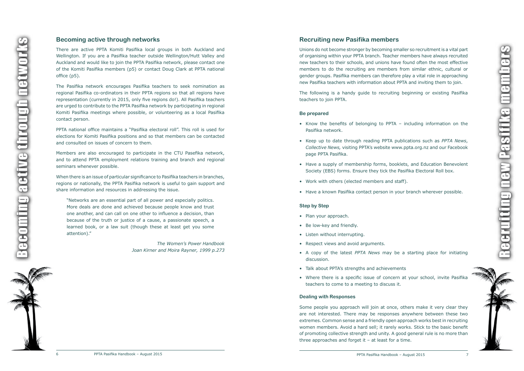



## <span id="page-3-0"></span>**Becoming active through networks**

There are activ e PPTA Komiti Pasifika local groups in both Auckland and Wellington. If you are a Pasifika teacher outside Wellington/Hutt Valley and Auckland and would lik e to join the PPTA Pasifika network, please contact one of the Komiti Pasifika members (p5) or contact Doug Clark at PPTA nationa l office (p5).

The Pasifika network encourages Pasifika teachers to seek nomination as regional Pasifika co-ordinators in their PPTA regions so that all regions have representation (currently in 2015, only fiv e regions do!). All Pasifika teachers are urged to contribute to the PPTA Pasifika network b y participating in regional Komiti Pasifika meetings where possible, or volunteering as a local Pasifika contact person.

PPTA national office maintains a "Pasifika electoral roll" . This roll is used for elections for Komiti Pasifika positions and so tha t members can be contacted and consulted on issues of concern to them.

Members are also encouraged to participate in the CTU Pasefika network, and to attend PPTA employment relations training and branch and regional seminars whenever possible.

Unions do not become stronger by becoming smaller so recruitment is a vital part of organising within your PPTA branch. Teacher members have always recruited new teachers to their schools, and unions have found often the most effective members to do the recruiting are members from similar ethnic, cultural or gender groups. Pasifika members can therefore pla y a vital role in approaching new Pasifika teachers with information about PPTA and inviting them to join.

- • Know the benefits of belonging to PPTA including information on the Pasifika network.
- • Keep up to date through reading PPTA publications such as *PPTA News* , *Collective News,* visiting PPTA's website www.ppta.org.nz and our Facebook page PPTA Pasifika.
- Have a supply of membership forms, booklets, and Education Benevolent Societ y (EBS) forms. Ensure they tick the Pasifika Electoral Roll box.
- Work with others (elected members and staff).
- Have a known Pasifika contact person in your branch wherever possible.

When there is an issue of particular significance to Pasifika teachers in branches, regions or nationally, the PPTA Pasifika network is useful to gain support and share information and resources in addressing the issue.

"Networks are an essential part of all power and especially politics. More deals are done and achieved because people know and trust one another, and can call on one other to influence a decision, than because of the truth or justice of a cause, a passionate speech, a learned book, or a law suit (though these at least get you some attention). "

- Plan your approach.
- Be low-key and friendly.
- Listen without interrupting.
- Respect views and avoid arguments.
- A copy of the latest *PPTA News* may be a starting place for initiating discussion.
- Talk about PPTA's strengths and achievements
- Where there is a specific issue of concern at your school, invite Pasifika teachers to come to a meeting to discuss it.

Some people you approach will join at once, others mak e it very clear they are not interested. There ma y be responses anywhere between these two extremes. Common sense and a friendly open approach works best in recruiting women members. Avoid a hard sell; it rarely works. Stick to the basic benefit of promoting collectiv e strength and unity. A good general rule is no more than three approaches and forget it  $-$  at least for a time.



*The Women's Power Handbook Joan Kirner and Moira Rayner, 1999 p.273*

# **Recruiting new Pasifika members**

The following is a handy guide to recruiting beginning or existing Pasifika teachers to join PPTA.

#### **Be prepared**

### **Step by Step**

#### **Dealing with Responses**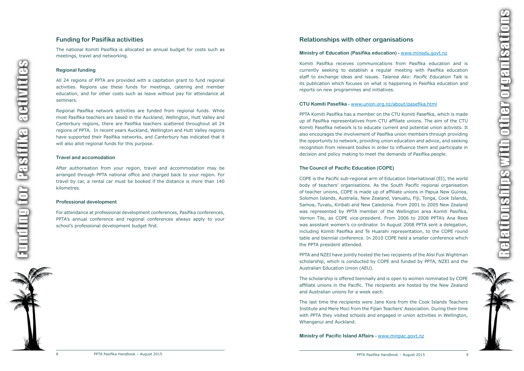## <span id="page-4-0"></span>**Funding for Pasifika activities**

The national Komiti Pasifika is allocated an annual budget for costs such as meetings, travel and networking.

#### **Regional funding**

All 24 regions of PPTA are provided with a capitation grant to fund regional activities. Regions use these funds for meetings, catering and member education, and for other costs such as leave without pa y for attendance at seminars.

After authorisation from your region, travel and accommodation may be arranged through PPTA national office and charged back to your region. For travel b y car, a rental car must be booked if the distance is more tha n 140 kilometres.

Regional Pasifika network activities are funded from regional funds. While most Pasifika teachers are based in the Auckland, Wellington, Hutt Valley and Canterbury regions, there are Pasifika teachers scattered throughout all 24 regions of PPTA. In recent years Auckland, Wellington and Hutt Valley regions have supported their Pasifika networks, and Canterbury has indicated tha t it will also allot regional funds for this purpose.

#### **Travel and accomodation**

#### **Professional development**

PPTA Komiti Pasifika has a member on the CTU Komiti Pasefika, which is made up of Pasifika representatives from CTU affiliate unions. The aim of the CTU Komiti Pasefika network is to educate current and potential union activists. It also encourages the involvement of Pasifika union members through providing the opportunit y to network, providing union education and advice, and seeking recognition from relevant bodies in order to influence them and participate in decision and policy making to meet the demands of Pasifika people.

For attendance at professional development conferences, Pasifika conferences, PPTA's annual conference and regional conferences always apply to your school' s professional development budget first.



## **Relationships with other organisations**

### **Ministry of Education (Pasifika education) -** www.minedu.govt.nz

Komiti Pasifika receives communications from Pasifika education and is currently seeking to establish a regular meeting with Pasifika education staff to exchange ideas and issues. *Talanoa Ako: Pacific Education Talk* is its publication which focuses on wha t is happening in Pasifika education and reports on new programmes and initiatives.

### **CTU Komiti Pasefika -** www.union.org.nz/about/pasefika.html

Relationships with other organisationselationships with other organisati



#### **The Council of Pacific Education (COPE)**

COPE is the Pacific sub-regional arm of Education International (EI), the world body of teachers' organisations. As the South Pacific regional organisation of teacher unions, COPE is made up of affiliate unions in Papua New Guinea, Solomon Islands, Australia, New Zealand, Vanuatu, Fiji, Tonga, Cook Islands, Samoa , Tuvalu, Kiribati and New Caledonia. From 2001 to 2005 New Zealand was represented b y PPTA member of the Wellington area Komiti Pasifika, Vernon Tile, as COPE vice-president. From 2006 to 2008 PPTA's Ana Rees was assistant women' s co-ordinator. In August 2008 PPTA sent a delegation, including Komiti Pasifika and Te Huarahi representation, to the COPE round table and biennial conference. In 2010 COPE held a smaller conference which the PPTA president attended.

PPTA and NZEI have jointly hosted the two recipients of the Alisi Fusi Wightman scholarship , which is conducted b y COPE and funded b y PPTA, NZEI and the Australian Education Union (AEU).

The scholarship is offered biennially and is open to women nominated b y COPE affiliate unions in the Pacific. The recipients are hosted b y the New Zealand and Australian unions for a week each.

The last time the recipients were Jane Kora from the Cook Islands Teachers Institute and Mere Moci from the Fijian Teachers' Association. During their time with PPTA they visited schools and engaged in union activities in Wellington, Whanganui and Auckland.

**Ministry of Pacific Island Affairs -** www.minpac.govt.nz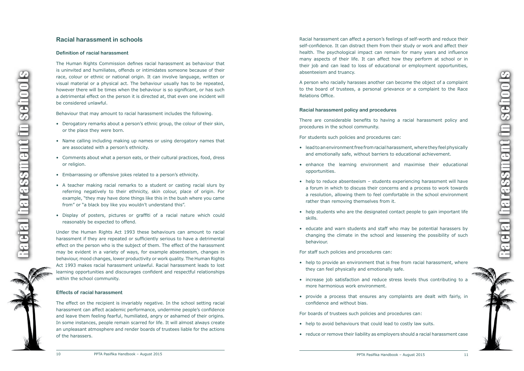## <span id="page-5-0"></span>**Racial harassment in schools**

#### **Definition of racial harassment**

The Human Rights Commission defines racial harassment as behaviour that is uninvited and humiliates, offends or intimidates someone because of their race, colour or ethnic or national origin. It can involve language, written or visual material or a physical act. The behaviour usually has to be repeated, however there will be times when the behaviour is so significant, or has such a detrimental effect on the person it is directed at, that even one incident will be considered unlawful.

Behaviour that may amount to racial harassment includes the following.

- Derogatory remarks about a person's ethnic group, the colour of their skin, or the place they were born.
- Name calling including making up names or using derogatory names that are associated with a person's ethnicity.
- Comments about what a person eats, or their cultural practices, food, dress or religion.
- Embarrassing or offensive jokes related to a person's ethnicity.
- A teacher making racial remarks to a student or casting racial slurs by referring negatively to their ethnicity, skin colour, place of origin. For example, "they ma y have done things lik e this in the bush where you came from" or "a black boy like you wouldn't understand this".
- Display of posters, pictures or graffiti of a racial nature which could reasonably be expected to offend.

Under the Human Rights Act 1993 these behaviours can amount to racial harassment if they are repeated or sufficiently serious to have a detrimental effect on the person who is the subject of them. The effect of the harassment may be evident in a variety of ways, for example absenteeism, changes in behaviour, mood changes, lower productivit y or work quality. The Human Rights Act 1993 makes racial harassment unlawful. Racial harassment leads to lost learning opportunities and discourages confident and respectful relationships within the school community.

- lead to an environment free from racial harassment, where they feel physically and emotionally safe, without barriers to educational achievement.
- • enhance the learning environment and maximise their educational opportunities.
- help to reduce absenteeism students experiencing harassment will have a forum in which to discuss their concerns and a process to work towards a resolution, allowing them to feel comfortable in the school environment rather than removing themselves from it.
- help students who are the designated contact people to gain important life skills.
- educate and warn students and staff who may be potential harassers by changing the climate in the school and lessening the possibilit y of such behaviour.

#### **Effects of racial harassment**

- help to provide an environment that is free from racial harassment, where they can feel physically and emotionally safe.
- increase job satisfaction and reduce stress levels thus contributing to a more harmonious work environment.
- provide a process that ensures any complaints are dealt with fairly, in confidence and without bias.

The effect on the recipient is invariably negative. In the school setting racial harassment can affect academic performance, undermine people' s confidence and leave them feeling fearful, humiliated, angry or ashamed of their origins. In some instances, people remain scarred for life. It will almost always create an unpleasant atmosphere and render boards of trustees liable for the actions of the harassers.



Racial harassment can affect a person's feelings of self-worth and reduce their self-confidence. It can distract them from their study or work and affect their health. The psychological impact can remain for many years and influence man y aspects of their life. It can affect how they perform at school or in their job and can lead to loss of educational or employment opportunities, absenteeism and truancy .

A person who racially harasses another can become the object of a complaint to the board of trustees, a personal grievance or a complaint to the Race Relations Office.

#### **Racial harassment policy and procedures**

There are considerable benefits to having a racial harassment policy and procedures in the school community.

For students such policies and procedures can:

For staff such policies and procedures can:

For boards of trustees such policies and procedures can:

- help to avoid behaviours that could lead to costly law suits.
- reduce or remove their liability as employers should a racial harassment case



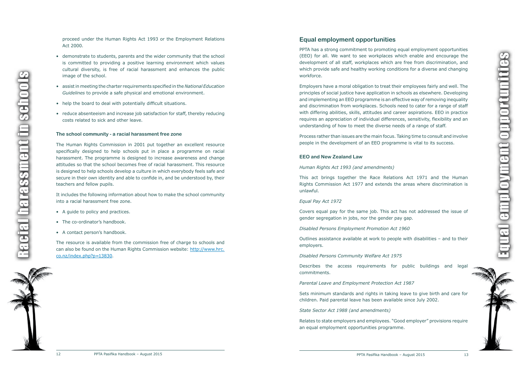<span id="page-6-0"></span>proceed under the Human Rights Act 1993 or the Employment Relations Act 2000.

- demonstrate to students, parents and the wider community that the school is committed to providing a positiv e learning environment which values cultural diversity, is free of racial harassment and enhances the public image of the school.
- • assistin meeting the charter requirements specified in the *National Education Guidelines* to provide a saf e physical and emotional environment.
- help the board to deal with potentially difficult situations.
- reduce absenteeism and increase job satisfaction for staff, thereby reducing costs related to sick and other leave.

#### **The school community - a racial harassment free zone**

The Human Rights Commission in 2001 put together an excellent resource specifically designed to help schools put in place a programme on racial harassment. The programme is designed to increase awareness and change attitudes so tha t the school becomes free of racial harassment. This resource is designed to help schools develop a culture in which everybody feels saf e and secure in their own identit y and able to confide in, and be understood by, their teachers and fellow pupils.

It includes the following information about how to mak e the school communit y into a racial harassment free zone.

- A guide to policy and practices.
- The co-ordinator's handbook.
- A contact person's handbook.

Process rather than issues are the main focus. Taking time to consult and involve people in the development of an EEO programme is vital to its success.

The resource is available from the commission free of charge to schools and can also be found on the Human Rights Commission website: http://www.hrc. co.nz/index.php?p=13830 .

Outlines assistance available at work to people with disabilities – and to their employers.



PPTA has a strong commitment to promoting equal employment opportunities (EEO) for all. W e want to see workplaces which enable and encourage the development of all staff, workplaces which are free from discrimination, and which provide saf e and health y working conditions for a diverse and changing workforce.

Employers have a moral obligation to treat their employees fairly and well. The principles of social justice have application in schools as elsewhere. Developing and implementing an EEO programme is an effective way of removing inequalit y and discrimination from workplaces. Schools need to cater for a range of staff with differing abilities, skills, attitudes and career aspirations. EEO in practice requires an appreciation of individual differences, sensitivity, flexibility and an understanding of how to meet the diverse needs of a range of staff .

#### **EEO and New Zealand Law**

*Human Rights Act 1993 (and amendments)*

This act brings together the Race Relations Act 1971 and the Human Rights Commission Act 1977 and extends the areas where discrimination is unlawful.

#### *Equal Pay Act 1972*

Covers equal pa y for the same job . This act has not addressed the issue of gender segregation in jobs, nor the gender pay gap.

*Disabled Persons Employment Promotion Act 1960*

*Disabled Persons Community Welfare Act 1975*

Describes the access requirements for public buildings and legal commitments.

*Parental Leave and Employment Protection Act 1987*

Sets minimum standards and rights in taking leave to giv e birth and care for children. Paid parental leave has been available since July 2002.

*State Sector Act 1988 (and amendments)*

Relates to state employers and employees. "Good employer" provisions require an equal employment opportunities programme.

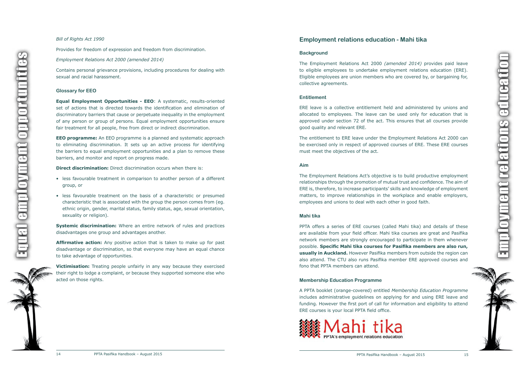

#### <span id="page-7-0"></span>*Bill of Rights Act 1990*

Provides for freedom of expression and freedom from discrimination.

#### *Employment Relations Act 2000 (amended 2014)*

Contains personal grievance provisions, including procedures for dealing with sexual and racial harassment.

#### **Glossary for EEO**

**Equal Employment Opportunities - EEO** : A systematic, results-oriented set of actions tha t is directed towards the identification and elimination of discriminatory barriers tha t cause or perpetuate inequality in the employment of an y person or group of persons. Equal employment opportunities ensure fair treatment for all people, free from direct or indirect discrimination.

- less favourable treatment in comparison to another person of a different group , or
- • less favourable treatment on the basis of a characteristic or presumed characteristic tha t is associated with the group the person comes from (eg. ethnic origin, gender, marital status, family status, age, sexual orientation, sexualit y or religion).

**Affirmative action:** Any positive action that is taken to make up for past disadvantage or discrimination, so that everyone ma y have an equal chance to tak e advantage of opportunities.

**EEO programme:** An EEO programme is a planned and systematic approach to eliminating discrimination. It sets up an activ e process for identifying the barriers to equal employment opportunities and a pla n to remove these barriers, and monitor and report on progress made.

**Direct discrimination:** Direct discrimination occurs when there is:

**Victimisation:** Treating people unfairly in any way because they exercised their right to lodge a complaint, or because they supported someone else who acted on those rights.

**Systemic discrimination:** Where an entire network of rules and practices disadvantages one group and advantages another.

The Employment Relations Act's objective is to build productive employment relationships through the promotion of mutual trust and confidence. The aim of ERE is, therefore, to increase participants' skills and knowledge of employment matters, to improve relationships in the workplace and enable employers, employees and unions to dea l with each other in good faith.

## **Employment relations education - Mahi tika**

#### **Background**

The Employment Relations Act 2000 *(amended 2014)* provides paid leave to eligible employees to undertak e employment relations education (ERE). Eligible employees are union members who are covered by, or bargaining for, collectiv e agreements.

#### **Entitlement**

ERE leave is a collectiv e entitlement held and administered b y unions and allocated to employees. The leave can be used only for education that is approved under section 72 of the act. This ensures tha t all courses provide good quality and relevant ERE.

The entitlement to ERE leave under the Employment Relations Act 2000 can be exercised only in respect of approved courses of ERE. These ERE courses must meet the objectives of the act.

#### **Aim**

#### **Mahi tika**

PPTA offers a series of ERE courses (called Mahi tika) and details of these are available from your field officer. Mahi tika courses are great and Pasifika network members are strongly encouraged to participate in them whenever possible. **Specific Mahi tika courses for Pasifika members are also run, usually in Auckland.** However Pasifika members from outside the region can also attend. The CTU also runs Pasifika member ERE approved courses and fono that PPTA members can attend.

#### **Membership Education Programme**

A PPTA booklet (orange-covered) entitled *Membership Education Programme*  includes administrative guidelines on applying for and using ERE leave and funding. However the first port of call for information and eligibilit y to attend ERE courses is your local PPTA field office.





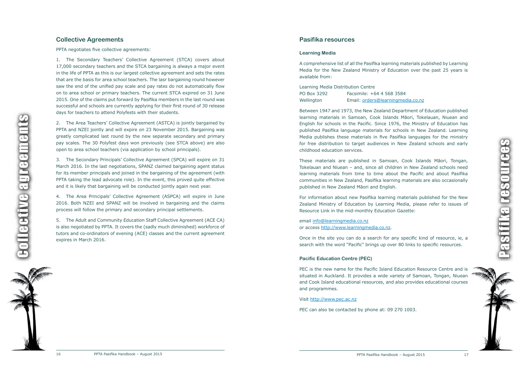### 3584 ngmedia.co.nz

## <span id="page-8-0"></span>**Collective Agreements**

PPTA negotiates five collectiv e agreements:

1. The Secondary Teachers' Collective Agreement (STCA) covers about 17,000 secondary teachers and the STCA bargaining is always a major event in the life of PPTA as this is our largest collectiv e agreement and sets the rates tha t are the basis for area school teachers. The lasr bargaining round however sa w the end of the unified pa y scale and pa y rates do not automatically flow on to area school or primary teachers. The current STCA expired on 31 June 2015. One of the claims put forward b y Pasifika members in the last round was successful and schools are currently applying for their first round of 30 release days for teachers to attend Polyfests with their students.

2. The Area Teachers' Collective Agreement (ASTCA) is jointly bargained by PPTA and NZEI jointly and will expire on 23 November 2015. Bargaining was greatly complicated last round b y the new separate secondary and primary pa y scales. The 30 Polyfest days won previously (see STCA above) are also open to area school teachers (via application by school principals).

3. The Secondary Principals' Collective Agreement (SPCA) will expire on 31 March 2016. In the last negotiations, SPANZ claimed bargaining agent status for its member principals and joined in the bargaining of the agreement (with PPTA taking the lead advocate role). In the event, this proved quite effective and it is likely that bargaining will be conducted jointly again next year.

4. The Area Principals' Collective Agreement (ASPCA) will expire in June 2016. Both NZEI and SPANZ will be involved in bargaining and the claims process will follow the primary and secondary principal settlements.



email info@learningmedia.co.nz or access http://www.learningmedia.co.nz.

5. The Adult and Communit y Education Staff Collectiv e Agreement (ACE CA) is also negotiated b y PPTA. It covers the (sadly much diminished) workforce of tutors and co-ordinators of evening (ACE) classes and the current agreement expires in March 2016.

> PEC is the new name for the Pacific Island Education Resource Centre and is situated in Auckland. It provides a wide variety of Samoan, Tongan, Niuean and Cook Island educational resources, and also provides educational courses and programmes.

## **Pasifika resources**

#### **Learning Media**

A comprehensive list of all the Pasifika learning materials published b y Learning Media for the New Zealand Ministry of Education over the past 25 years is available from:

| Learning Media Distribution Centre |                       |
|------------------------------------|-----------------------|
| PO Box 3292                        | Facsimile: +64 4 568  |
| Wellington                         | Email: orders@learnir |

Between 1947 and 1973, the New Zealand Department of Education published learning materials in Samoan, Cook Islands Māori, Tokelauan, Niuea n and English for schools in the Pacific. Since 1976, the Ministry of Education has published Pasifika language materials for schools in New Zealand. Learning Media publishes these materials in fiv e Pasifika languages for the ministry for free distribution to target audiences in New Zealand schools and early childhood education services.

These materials are published in Samoan, Cook Islands Māori, Tongan, Tokelauan and Niuea n – and, since all children in New Zealand schools need learning materials from time to time about the Pacific and about Pasifika communities in New Zealand, Pasifika learning materials are also occasionally published in New Zealand Māori and English.

For information about new Pasifika learning materials published for the New Zealand Ministry of Education by Learning Media, please refer to issues of Resource Link in the mid-monthly Education Gazette:

Once in the site you can do a search for an y specific kind of resource, ie, a search with the word "Pacific" brings up over 80 links to specific resources.

### **Pacific Education Centre (PEC)**

#### Visit http://www.pec.ac.nz

PEC can also be contacted b y phone at: 09 270 1003.



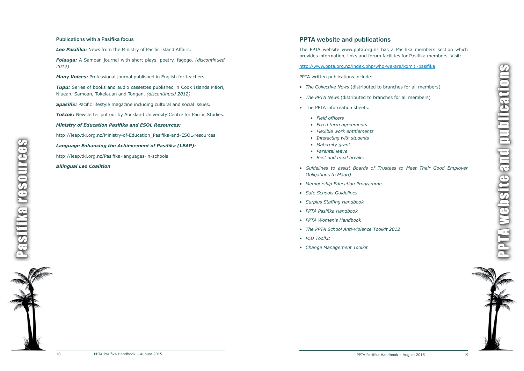

#### <span id="page-9-0"></span>**Publications with a Pasifika focus**

*Leo Pasifika:* News from the Ministry of Pacific Island Affairs.

*Folauga:* A Samoan journal with short plays, poetry, fagogo. *(discontinued 2012)*

*Many Voices:* Professional journal published in English for teachers.

*Tupu:* Series of books and audio cassettes published in Cook Islands Māori, Niuean, Samoan, Tokelauan and Tongan. *(discontinued 2012)*

**Spasifix:** Pacific lifestyle magazine including cultural and social issues.

**Toktok:** Newsletter put out by Auckland University Centre for Pacific Studies.

#### *Ministry of Education Pasifika and ESOL Resources:*

http://leap.tki.org.nz/Ministry-of-Education\_Pasifika-and-ESOL-resources

*Language Enhancing the Achievement of Pasifika (LEAP):* 

http://leap.tki.org.nz/Pasifika-languages-in-schools

#### *Bilingual Leo Coalition*

PPTA website and publicationswebsite and publicatio



## **PPTA website and publications**

The PPTA website www.ppta.org.nz has a Pasifika members section which provides information, links and forum facilities for Pasifika members. Visit:

http://www.ppta.org.nz/index.php/who-we-are/komiti-pasifika

PPTA written publications include:

- *• The Collective News* (distributed to branches for all members)
- *• The PPTA News* (distributed to branches for all members)
- The PPTA information sheets:
	- *• Field officers*
	- *• Fixed term agreements*
	- *• Flexible work entitlements*
	- *• Interacting with students*
	- *• Maternity grant*
	- *• Parental leave*
	- *• Rest and meal breaks*
- *• Guidelines to assist Boards of Trustees to Meet Their Good Employer Obligations to Māori)*
- *• Membership Education Programme*
- *• Safe Schools Guidelines*
- *• Surplus Staffing Handbook*
- *• PPTA Pasifika Handbook*
- *• PPTA Women's Handbook*
- *• The PPTA School Anti-violence Toolkit 2012*
- *• PLD Toolkit*
- *• Change Management Toolkit*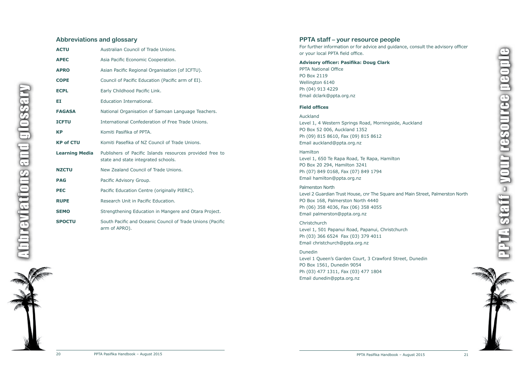## <span id="page-10-0"></span>**Abbreviations and glossary**



| <b>ACTU</b>           | Australian Council of Trade Unions.                                                             |
|-----------------------|-------------------------------------------------------------------------------------------------|
| <b>APEC</b>           | Asia Pacific Economic Cooperation.                                                              |
| <b>APRO</b>           | Asian Pacific Regional Organisation (of ICFTU).                                                 |
| <b>COPE</b>           | Council of Pacific Education (Pacific arm of EI).                                               |
| <b>ECPL</b>           | Early Childhood Pacific Link.                                                                   |
| ΕI                    | Education International.                                                                        |
| <b>FAGASA</b>         | National Organisation of Samoan Language Teachers.                                              |
| <b>ICFTU</b>          | International Confederation of Free Trade Unions.                                               |
| <b>KP</b>             | Komiti Pasifika of PPTA.                                                                        |
| <b>KP of CTU</b>      | Komiti Pasefika of NZ Council of Trade Unions.                                                  |
| <b>Learning Media</b> | Publishers of Pacific Islands resources provided free to<br>state and state integrated schools. |
| <b>NZCTU</b>          | New Zealand Council of Trade Unions.                                                            |
| <b>PAG</b>            | Pacific Advisory Group.                                                                         |
| <b>PEC</b>            | Pacific Education Centre (originally PIERC).                                                    |
| <b>RUPE</b>           | Research Unit in Pacific Education.                                                             |
| <b>SEMO</b>           | Strengthening Education in Mangere and Otara Project.                                           |
| <b>SPOCTU</b>         | South Pacific and Oceanic Council of Trade Unions (Pacific<br>arm of APRO).                     |

## **PPTA staff – your resource people**

PPTA staff - your resource people**N STATI - VOUT FESOUTE E DEOD** 



For further information or for advice and guidance, consult the advisory officer or your local PPTA field office.

### **Advisory officer: Pasifika: Doug Clark**

PPTA National Office PO Box 2119 Wellington 6140 Ph (04) 913 4229 Email dclark@ppta.org.nz

#### **Field offices**

Auckland Level 1, 4 Western Springs Road, Morningside, Auckland PO Box 52 006, Auckland 1352 Ph (09) 815 8610, Fax (09) 815 8612 Email auckland@ppta.org.nz

#### Hamilton

Level 1, 650 Te Rapa Road, Te Rapa, Hamilton PO Box 20 294, Hamilton 3241 Ph (07) 849 0168, Fax (07) 849 1794 Email hamilton@ppta.org.nz

### Palmerston North

Level 2 Guardian Trust House, cnr The Square and Main Street, Palmerston North PO Box 168, Palmerston North 4440 Ph (06) 358 4036, Fax (06) 358 4055 Email palmerston@ppta.org.nz

### Christchurch

Level 1, 501 Papanui Road, Papanui, Christchurch Ph (03) 366 6524 Fax (03) 379 4011 Email christchurch@ppta.org.nz

### Dunedin

Level 1 Queen's Garden Court, 3 Crawford Street, Dunedin PO Box 1561, Dunedin 9054 Ph (03) 477 1311, Fax (03) 477 1804 Email dunedin@ppta.org.nz